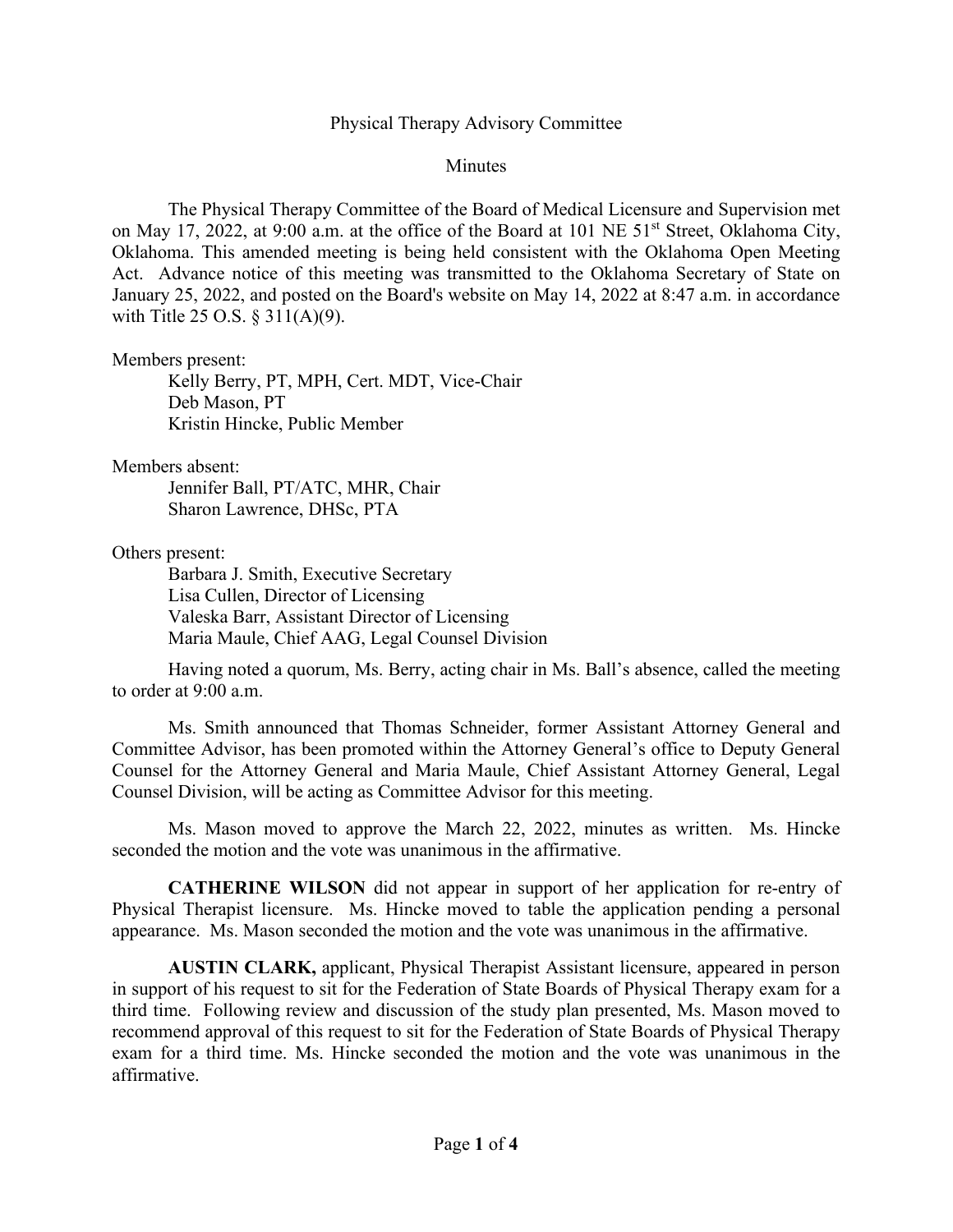## Physical Therapy Advisory Committee

**Minutes** 

The Physical Therapy Committee of the Board of Medical Licensure and Supervision met on May 17, 2022, at 9:00 a.m. at the office of the Board at 101 NE 51<sup>st</sup> Street, Oklahoma City, Oklahoma. This amended meeting is being held consistent with the Oklahoma Open Meeting Act. Advance notice of this meeting was transmitted to the Oklahoma Secretary of State on January 25, 2022, and posted on the Board's website on May 14, 2022 at 8:47 a.m. in accordance with Title 25 O.S. § 311(A)(9).

## Members present:

Kelly Berry, PT, MPH, Cert. MDT, Vice-Chair Deb Mason, PT Kristin Hincke, Public Member

Members absent:

Jennifer Ball, PT/ATC, MHR, Chair Sharon Lawrence, DHSc, PTA

Others present:

Barbara J. Smith, Executive Secretary Lisa Cullen, Director of Licensing Valeska Barr, Assistant Director of Licensing Maria Maule, Chief AAG, Legal Counsel Division

Having noted a quorum, Ms. Berry, acting chair in Ms. Ball's absence, called the meeting to order at 9:00 a.m.

Ms. Smith announced that Thomas Schneider, former Assistant Attorney General and Committee Advisor, has been promoted within the Attorney General's office to Deputy General Counsel for the Attorney General and Maria Maule, Chief Assistant Attorney General, Legal Counsel Division, will be acting as Committee Advisor for this meeting.

Ms. Mason moved to approve the March 22, 2022, minutes as written. Ms. Hincke seconded the motion and the vote was unanimous in the affirmative.

**CATHERINE WILSON** did not appear in support of her application for re-entry of Physical Therapist licensure. Ms. Hincke moved to table the application pending a personal appearance. Ms. Mason seconded the motion and the vote was unanimous in the affirmative.

**AUSTIN CLARK,** applicant, Physical Therapist Assistant licensure, appeared in person in support of his request to sit for the Federation of State Boards of Physical Therapy exam for a third time. Following review and discussion of the study plan presented, Ms. Mason moved to recommend approval of this request to sit for the Federation of State Boards of Physical Therapy exam for a third time. Ms. Hincke seconded the motion and the vote was unanimous in the affirmative.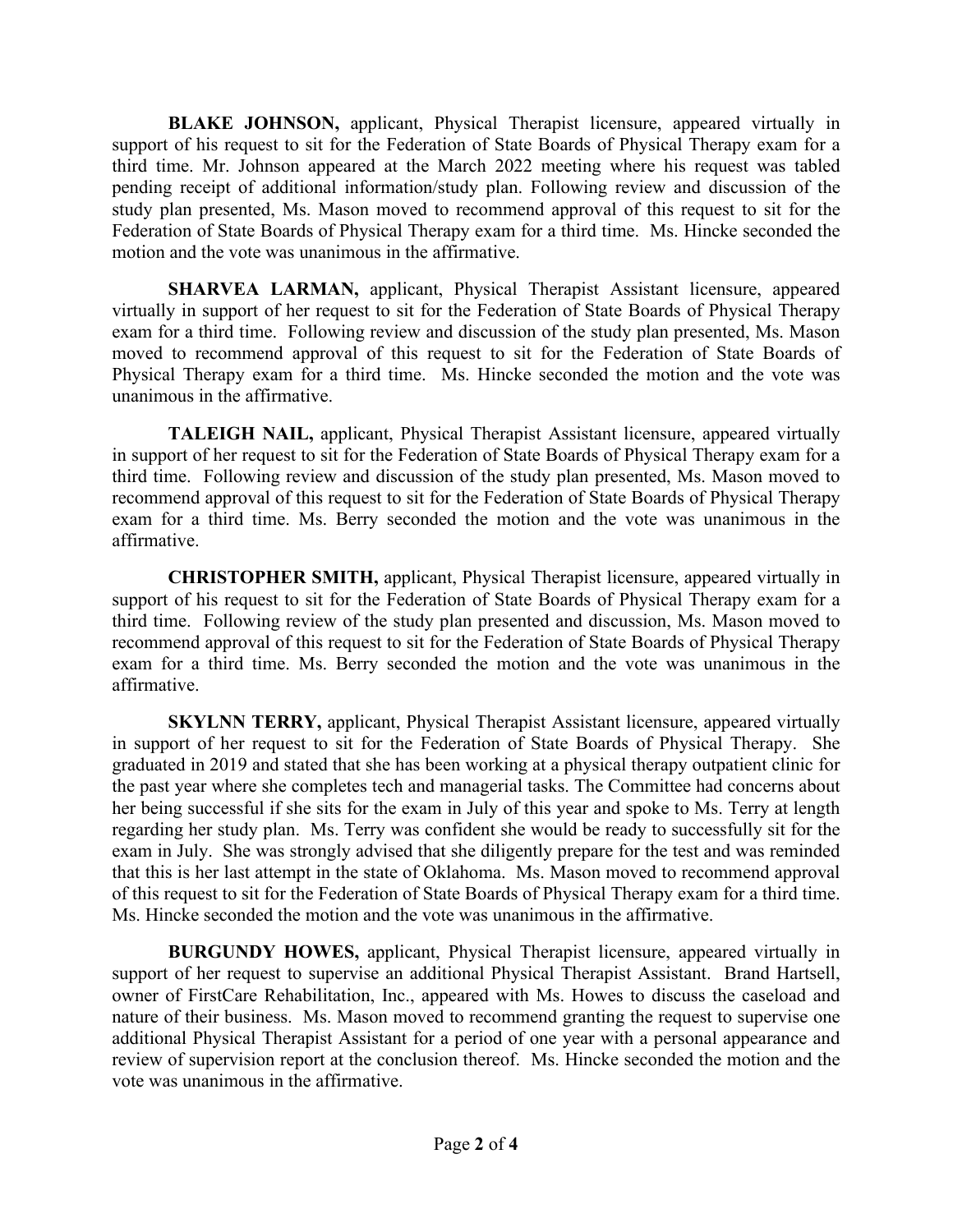**BLAKE JOHNSON,** applicant, Physical Therapist licensure, appeared virtually in support of his request to sit for the Federation of State Boards of Physical Therapy exam for a third time. Mr. Johnson appeared at the March 2022 meeting where his request was tabled pending receipt of additional information/study plan. Following review and discussion of the study plan presented, Ms. Mason moved to recommend approval of this request to sit for the Federation of State Boards of Physical Therapy exam for a third time. Ms. Hincke seconded the motion and the vote was unanimous in the affirmative.

**SHARVEA LARMAN,** applicant, Physical Therapist Assistant licensure, appeared virtually in support of her request to sit for the Federation of State Boards of Physical Therapy exam for a third time. Following review and discussion of the study plan presented, Ms. Mason moved to recommend approval of this request to sit for the Federation of State Boards of Physical Therapy exam for a third time. Ms. Hincke seconded the motion and the vote was unanimous in the affirmative.

**TALEIGH NAIL,** applicant, Physical Therapist Assistant licensure, appeared virtually in support of her request to sit for the Federation of State Boards of Physical Therapy exam for a third time. Following review and discussion of the study plan presented, Ms. Mason moved to recommend approval of this request to sit for the Federation of State Boards of Physical Therapy exam for a third time. Ms. Berry seconded the motion and the vote was unanimous in the affirmative.

**CHRISTOPHER SMITH,** applicant, Physical Therapist licensure, appeared virtually in support of his request to sit for the Federation of State Boards of Physical Therapy exam for a third time. Following review of the study plan presented and discussion, Ms. Mason moved to recommend approval of this request to sit for the Federation of State Boards of Physical Therapy exam for a third time. Ms. Berry seconded the motion and the vote was unanimous in the affirmative.

**SKYLNN TERRY, applicant, Physical Therapist Assistant licensure, appeared virtually** in support of her request to sit for the Federation of State Boards of Physical Therapy. She graduated in 2019 and stated that she has been working at a physical therapy outpatient clinic for the past year where she completes tech and managerial tasks. The Committee had concerns about her being successful if she sits for the exam in July of this year and spoke to Ms. Terry at length regarding her study plan. Ms. Terry was confident she would be ready to successfully sit for the exam in July. She was strongly advised that she diligently prepare for the test and was reminded that this is her last attempt in the state of Oklahoma. Ms. Mason moved to recommend approval of this request to sit for the Federation of State Boards of Physical Therapy exam for a third time. Ms. Hincke seconded the motion and the vote was unanimous in the affirmative.

**BURGUNDY HOWES,** applicant, Physical Therapist licensure, appeared virtually in support of her request to supervise an additional Physical Therapist Assistant. Brand Hartsell, owner of FirstCare Rehabilitation, Inc., appeared with Ms. Howes to discuss the caseload and nature of their business. Ms. Mason moved to recommend granting the request to supervise one additional Physical Therapist Assistant for a period of one year with a personal appearance and review of supervision report at the conclusion thereof. Ms. Hincke seconded the motion and the vote was unanimous in the affirmative.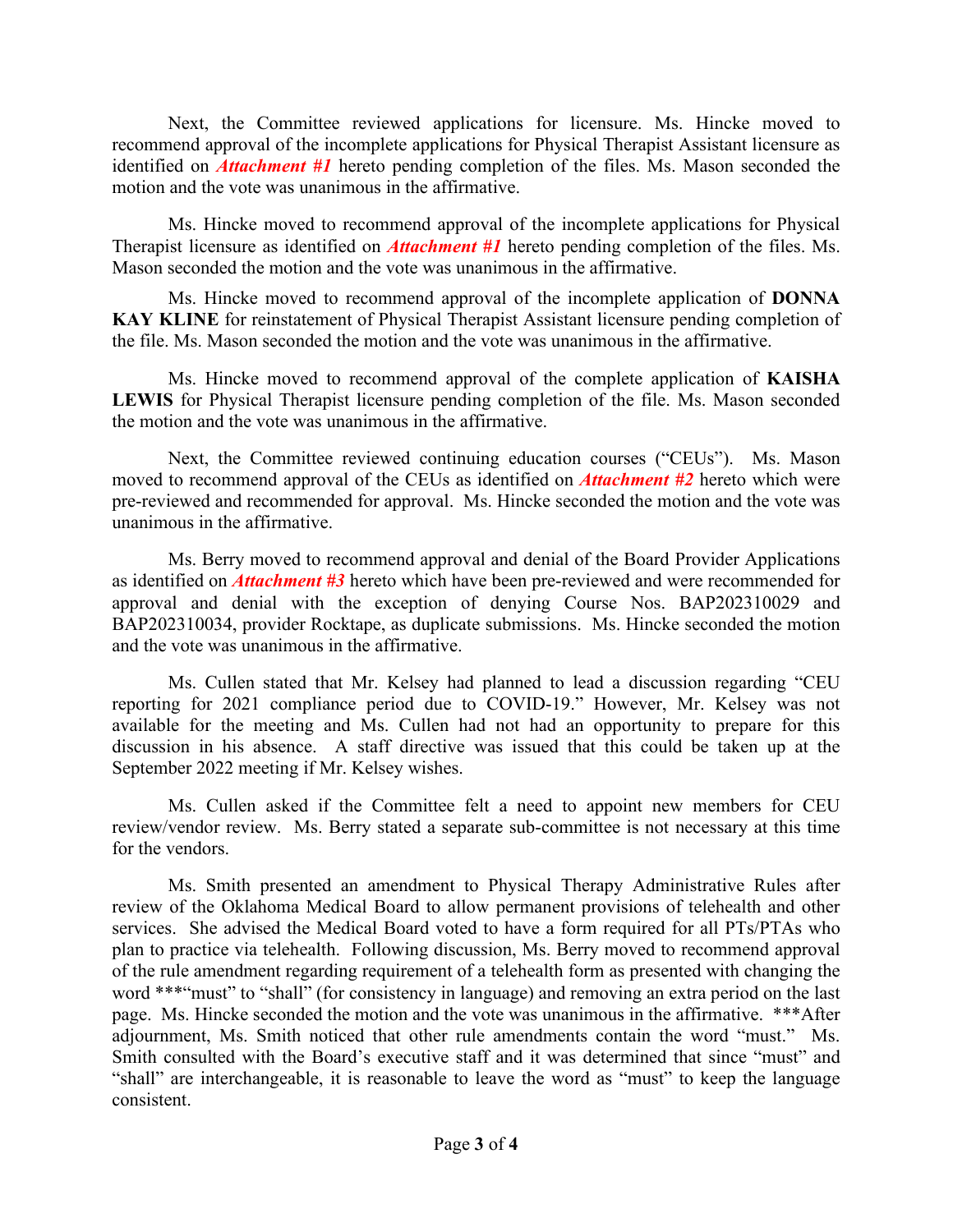Next, the Committee reviewed applications for licensure. Ms. Hincke moved to recommend approval of the incomplete applications for Physical Therapist Assistant licensure as identified on *Attachment #1* hereto pending completion of the files. Ms. Mason seconded the motion and the vote was unanimous in the affirmative.

Ms. Hincke moved to recommend approval of the incomplete applications for Physical Therapist licensure as identified on *Attachment #1* hereto pending completion of the files. Ms. Mason seconded the motion and the vote was unanimous in the affirmative.

Ms. Hincke moved to recommend approval of the incomplete application of **DONNA KAY KLINE** for reinstatement of Physical Therapist Assistant licensure pending completion of the file. Ms. Mason seconded the motion and the vote was unanimous in the affirmative.

Ms. Hincke moved to recommend approval of the complete application of **KAISHA LEWIS** for Physical Therapist licensure pending completion of the file. Ms. Mason seconded the motion and the vote was unanimous in the affirmative.

Next, the Committee reviewed continuing education courses ("CEUs"). Ms. Mason moved to recommend approval of the CEUs as identified on *Attachment #2* hereto which were pre-reviewed and recommended for approval. Ms. Hincke seconded the motion and the vote was unanimous in the affirmative.

Ms. Berry moved to recommend approval and denial of the Board Provider Applications as identified on *Attachment #3* hereto which have been pre-reviewed and were recommended for approval and denial with the exception of denying Course Nos. BAP202310029 and BAP202310034, provider Rocktape, as duplicate submissions. Ms. Hincke seconded the motion and the vote was unanimous in the affirmative.

Ms. Cullen stated that Mr. Kelsey had planned to lead a discussion regarding "CEU reporting for 2021 compliance period due to COVID-19." However, Mr. Kelsey was not available for the meeting and Ms. Cullen had not had an opportunity to prepare for this discussion in his absence. A staff directive was issued that this could be taken up at the September 2022 meeting if Mr. Kelsey wishes.

Ms. Cullen asked if the Committee felt a need to appoint new members for CEU review/vendor review. Ms. Berry stated a separate sub-committee is not necessary at this time for the vendors.

Ms. Smith presented an amendment to Physical Therapy Administrative Rules after review of the Oklahoma Medical Board to allow permanent provisions of telehealth and other services. She advised the Medical Board voted to have a form required for all PTs/PTAs who plan to practice via telehealth. Following discussion, Ms. Berry moved to recommend approval of the rule amendment regarding requirement of a telehealth form as presented with changing the word \*\*\*"must" to "shall" (for consistency in language) and removing an extra period on the last page. Ms. Hincke seconded the motion and the vote was unanimous in the affirmative. \*\*\*After adjournment, Ms. Smith noticed that other rule amendments contain the word "must." Ms. Smith consulted with the Board's executive staff and it was determined that since "must" and "shall" are interchangeable, it is reasonable to leave the word as "must" to keep the language consistent.